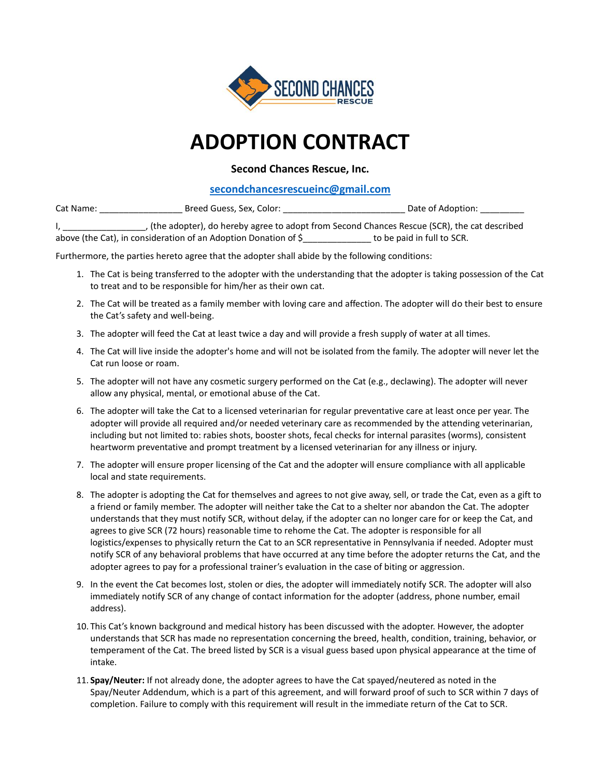

## **ADOPTION CONTRACT**

## **Second Chances Rescue, Inc.**

## **[secondchancesrescueinc@gmail.com](mailto:secondchancesrescueinc@gmail.com)**

| Cat Name: | Breed Guess, Sex, Color: | Date of Adoption:                                                                             |
|-----------|--------------------------|-----------------------------------------------------------------------------------------------|
|           |                          | , (the adopter), do hereby agree to adopt from Second Chances Rescue (SCR), the cat described |

above (the Cat), in consideration of an Adoption Donation of \$\_\_\_\_\_\_\_\_\_\_\_\_\_\_ to be paid in full to SCR.

Furthermore, the parties hereto agree that the adopter shall abide by the following conditions:

- 1. The Cat is being transferred to the adopter with the understanding that the adopter is taking possession of the Cat to treat and to be responsible for him/her as their own cat.
- 2. The Cat will be treated as a family member with loving care and affection. The adopter will do their best to ensure the Cat's safety and well-being.
- 3. The adopter will feed the Cat at least twice a day and will provide a fresh supply of water at all times.
- 4. The Cat will live inside the adopter's home and will not be isolated from the family. The adopter will never let the Cat run loose or roam.
- 5. The adopter will not have any cosmetic surgery performed on the Cat (e.g., declawing). The adopter will never allow any physical, mental, or emotional abuse of the Cat.
- 6. The adopter will take the Cat to a licensed veterinarian for regular preventative care at least once per year. The adopter will provide all required and/or needed veterinary care as recommended by the attending veterinarian, including but not limited to: rabies shots, booster shots, fecal checks for internal parasites (worms), consistent heartworm preventative and prompt treatment by a licensed veterinarian for any illness or injury.
- 7. The adopter will ensure proper licensing of the Cat and the adopter will ensure compliance with all applicable local and state requirements.
- 8. The adopter is adopting the Cat for themselves and agrees to not give away, sell, or trade the Cat, even as a gift to a friend or family member. The adopter will neither take the Cat to a shelter nor abandon the Cat. The adopter understands that they must notify SCR, without delay, if the adopter can no longer care for or keep the Cat, and agrees to give SCR (72 hours) reasonable time to rehome the Cat. The adopter is responsible for all logistics/expenses to physically return the Cat to an SCR representative in Pennsylvania if needed. Adopter must notify SCR of any behavioral problems that have occurred at any time before the adopter returns the Cat, and the adopter agrees to pay for a professional trainer's evaluation in the case of biting or aggression.
- 9. In the event the Cat becomes lost, stolen or dies, the adopter will immediately notify SCR. The adopter will also immediately notify SCR of any change of contact information for the adopter (address, phone number, email address).
- 10. This Cat's known background and medical history has been discussed with the adopter. However, the adopter understands that SCR has made no representation concerning the breed, health, condition, training, behavior, or temperament of the Cat. The breed listed by SCR is a visual guess based upon physical appearance at the time of intake.
- 11. **Spay/Neuter:** If not already done, the adopter agrees to have the Cat spayed/neutered as noted in the Spay/Neuter Addendum, which is a part of this agreement, and will forward proof of such to SCR within 7 days of completion. Failure to comply with this requirement will result in the immediate return of the Cat to SCR.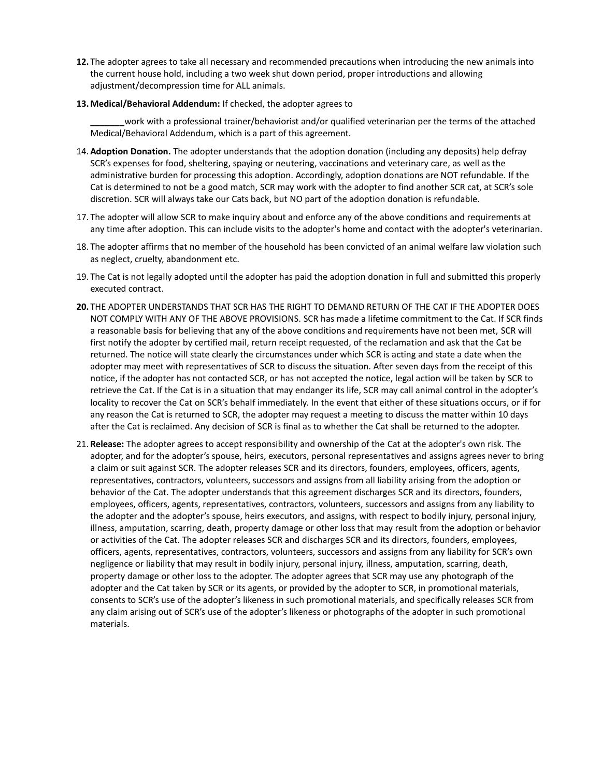- **12.** The adopter agrees to take all necessary and recommended precautions when introducing the new animals into the current house hold, including a two week shut down period, proper introductions and allowing adjustment/decompression time for ALL animals.
- **13.Medical/Behavioral Addendum:** If checked, the adopter agrees to

**\_\_\_\_\_\_\_**work with a professional trainer/behaviorist and/or qualified veterinarian per the terms of the attached Medical/Behavioral Addendum, which is a part of this agreement.

- 14. **Adoption Donation.** The adopter understands that the adoption donation (including any deposits) help defray SCR's expenses for food, sheltering, spaying or neutering, vaccinations and veterinary care, as well as the administrative burden for processing this adoption. Accordingly, adoption donations are NOT refundable. If the Cat is determined to not be a good match, SCR may work with the adopter to find another SCR cat, at SCR's sole discretion. SCR will always take our Cats back, but NO part of the adoption donation is refundable.
- 17. The adopter will allow SCR to make inquiry about and enforce any of the above conditions and requirements at any time after adoption. This can include visits to the adopter's home and contact with the adopter's veterinarian.
- 18. The adopter affirms that no member of the household has been convicted of an animal welfare law violation such as neglect, cruelty, abandonment etc.
- 19. The Cat is not legally adopted until the adopter has paid the adoption donation in full and submitted this properly executed contract.
- **20.** THE ADOPTER UNDERSTANDS THAT SCR HAS THE RIGHT TO DEMAND RETURN OF THE CAT IF THE ADOPTER DOES NOT COMPLY WITH ANY OF THE ABOVE PROVISIONS. SCR has made a lifetime commitment to the Cat. If SCR finds a reasonable basis for believing that any of the above conditions and requirements have not been met, SCR will first notify the adopter by certified mail, return receipt requested, of the reclamation and ask that the Cat be returned. The notice will state clearly the circumstances under which SCR is acting and state a date when the adopter may meet with representatives of SCR to discuss the situation. After seven days from the receipt of this notice, if the adopter has not contacted SCR, or has not accepted the notice, legal action will be taken by SCR to retrieve the Cat. If the Cat is in a situation that may endanger its life, SCR may call animal control in the adopter's locality to recover the Cat on SCR's behalf immediately. In the event that either of these situations occurs, or if for any reason the Cat is returned to SCR, the adopter may request a meeting to discuss the matter within 10 days after the Cat is reclaimed. Any decision of SCR is final as to whether the Cat shall be returned to the adopter.
- 21. **Release:** The adopter agrees to accept responsibility and ownership of the Cat at the adopter's own risk. The adopter, and for the adopter's spouse, heirs, executors, personal representatives and assigns agrees never to bring a claim or suit against SCR. The adopter releases SCR and its directors, founders, employees, officers, agents, representatives, contractors, volunteers, successors and assigns from all liability arising from the adoption or behavior of the Cat. The adopter understands that this agreement discharges SCR and its directors, founders, employees, officers, agents, representatives, contractors, volunteers, successors and assigns from any liability to the adopter and the adopter's spouse, heirs executors, and assigns, with respect to bodily injury, personal injury, illness, amputation, scarring, death, property damage or other loss that may result from the adoption or behavior or activities of the Cat. The adopter releases SCR and discharges SCR and its directors, founders, employees, officers, agents, representatives, contractors, volunteers, successors and assigns from any liability for SCR's own negligence or liability that may result in bodily injury, personal injury, illness, amputation, scarring, death, property damage or other loss to the adopter. The adopter agrees that SCR may use any photograph of the adopter and the Cat taken by SCR or its agents, or provided by the adopter to SCR, in promotional materials, consents to SCR's use of the adopter's likeness in such promotional materials, and specifically releases SCR from any claim arising out of SCR's use of the adopter's likeness or photographs of the adopter in such promotional materials.